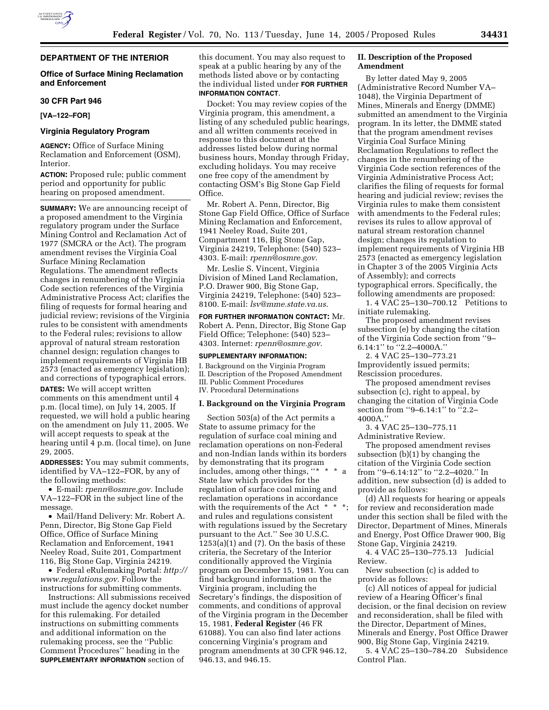

# **DEPARTMENT OF THE INTERIOR**

## **Office of Surface Mining Reclamation and Enforcement**

#### **30 CFR Part 946**

**[VA–122–FOR]** 

# **Virginia Regulatory Program**

**AGENCY:** Office of Surface Mining Reclamation and Enforcement (OSM), Interior.

**ACTION:** Proposed rule; public comment period and opportunity for public hearing on proposed amendment.

**SUMMARY:** We are announcing receipt of a proposed amendment to the Virginia regulatory program under the Surface Mining Control and Reclamation Act of 1977 (SMCRA or the Act). The program amendment revises the Virginia Coal Surface Mining Reclamation Regulations. The amendment reflects changes in renumbering of the Virginia Code section references of the Virginia Administrative Process Act; clarifies the filing of requests for formal hearing and judicial review; revisions of the Virginia rules to be consistent with amendments to the Federal rules; revisions to allow approval of natural stream restoration channel design; regulation changes to implement requirements of Virginia HB 2573 (enacted as emergency legislation); and corrections of typographical errors.

**DATES:** We will accept written comments on this amendment until 4 p.m. (local time), on July 14, 2005. If requested, we will hold a public hearing on the amendment on July 11, 2005. We will accept requests to speak at the hearing until 4 p.m. (local time), on June 29, 2005.

**ADDRESSES:** You may submit comments, identified by VA–122–FOR, by any of the following methods:

• E-mail: *rpenn@osmre.gov.* Include VA–122–FOR in the subject line of the message.

• Mail/Hand Delivery: Mr. Robert A. Penn, Director, Big Stone Gap Field Office, Office of Surface Mining Reclamation and Enforcement, 1941 Neeley Road, Suite 201, Compartment 116, Big Stone Gap, Virginia 24219.

• Federal eRulemaking Portal: *http:// www.regulations.gov*. Follow the instructions for submitting comments.

Instructions: All submissions received must include the agency docket number for this rulemaking. For detailed instructions on submitting comments and additional information on the rulemaking process, see the ''Public Comment Procedures'' heading in the **SUPPLEMENTARY INFORMATION** section of

this document. You may also request to speak at a public hearing by any of the methods listed above or by contacting the individual listed under **FOR FURTHER INFORMATION CONTACT**.

Docket: You may review copies of the Virginia program, this amendment, a listing of any scheduled public hearings, and all written comments received in response to this document at the addresses listed below during normal business hours, Monday through Friday, excluding holidays. You may receive one free copy of the amendment by contacting OSM's Big Stone Gap Field Office.

Mr. Robert A. Penn, Director, Big Stone Gap Field Office, Office of Surface Mining Reclamation and Enforcement, 1941 Neeley Road, Suite 201, Compartment 116, Big Stone Gap, Virginia 24219, Telephone: (540) 523– 4303. E-mail: *rpenn@osmre.gov*.

Mr. Leslie S. Vincent, Virginia Division of Mined Land Reclamation, P.O. Drawer 900, Big Stone Gap, Virginia 24219, Telephone: (540) 523– 8100. E-mail: *lsv@mme.state.va.us*.

**FOR FURTHER INFORMATION CONTACT:** Mr. Robert A. Penn, Director, Big Stone Gap Field Office; Telephone: (540) 523– 4303. Internet: *rpenn@osmre.gov*.

#### **SUPPLEMENTARY INFORMATION:**

I. Background on the Virginia Program II. Description of the Proposed Amendment III. Public Comment Procedures IV. Procedural Determinations

### **I. Background on the Virginia Program**

Section 503(a) of the Act permits a State to assume primacy for the regulation of surface coal mining and reclamation operations on non-Federal and non-Indian lands within its borders by demonstrating that its program includes, among other things, "\* State law which provides for the regulation of surface coal mining and reclamation operations in accordance with the requirements of the Act  $*$   $*$ and rules and regulations consistent with regulations issued by the Secretary pursuant to the Act.'' See 30 U.S.C.  $1253(a)(1)$  and  $(7)$ . On the basis of these criteria, the Secretary of the Interior conditionally approved the Virginia program on December 15, 1981. You can find background information on the Virginia program, including the Secretary's findings, the disposition of comments, and conditions of approval of the Virginia program in the December 15, 1981, **Federal Register** (46 FR 61088). You can also find later actions concerning Virginia's program and program amendments at 30 CFR 946.12, 946.13, and 946.15.

## **II. Description of the Proposed Amendment**

By letter dated May 9, 2005 (Administrative Record Number VA– 1048), the Virginia Department of Mines, Minerals and Energy (DMME) submitted an amendment to the Virginia program. In its letter, the DMME stated that the program amendment revises Virginia Coal Surface Mining Reclamation Regulations to reflect the changes in the renumbering of the Virginia Code section references of the Virginia Administrative Process Act; clarifies the filing of requests for formal hearing and judicial review; revises the Virginia rules to make them consistent with amendments to the Federal rules; revises its rules to allow approval of natural stream restoration channel design; changes its regulation to implement requirements of Virginia HB 2573 (enacted as emergency legislation in Chapter 3 of the 2005 Virginia Acts of Assembly); and corrects typographical errors. Specifically, the following amendments are proposed:

1. 4 VAC 25–130–700.12 Petitions to initiate rulemaking.

The proposed amendment revises subsection (e) by changing the citation of the Virginia Code section from ''9– 6.14:1'' to ''2.2–4000A.''

2. 4 VAC 25–130–773.21 Improvidently issued permits; Rescission procedures.

The proposed amendment revises subsection (c), right to appeal, by changing the citation of Virginia Code section from "9-6.14:1" to "2.2-4000A.''

3. 4 VAC 25–130–775.11 Administrative Review.

The proposed amendment revises subsection (b)(1) by changing the citation of the Virginia Code section from "9-6.14:12" to "2.2-4020." In addition, new subsection (d) is added to provide as follows:

(d) All requests for hearing or appeals for review and reconsideration made under this section shall be filed with the Director, Department of Mines, Minerals and Energy, Post Office Drawer 900, Big Stone Gap, Virginia 24219.

4. 4 VAC 25–130–775.13 Judicial Review.

New subsection (c) is added to provide as follows:

(c) All notices of appeal for judicial review of a Hearing Officer's final decision, or the final decision on review and reconsideration, shall be filed with the Director, Department of Mines, Minerals and Energy, Post Office Drawer 900, Big Stone Gap, Virginia 24219.

5. 4 VAC 25–130–784.20 Subsidence Control Plan.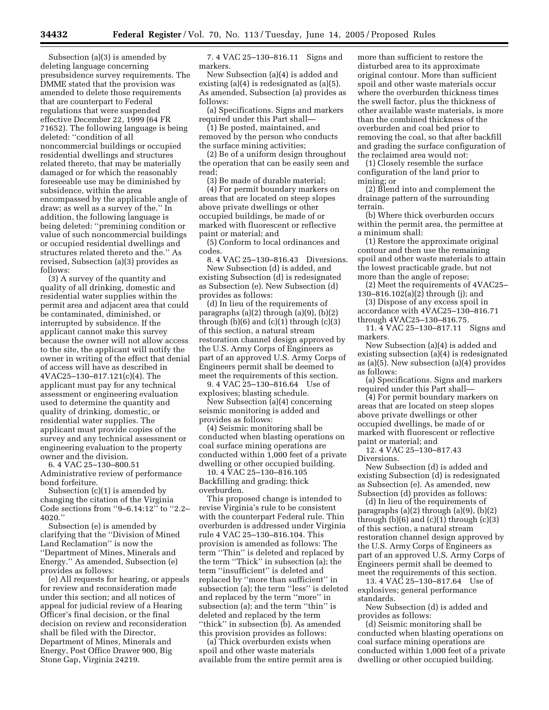Subsection (a)(3) is amended by deleting language concerning presubsidence survey requirements. The DMME stated that the provision was amended to delete those requirements that are counterpart to Federal regulations that were suspended effective December 22, 1999 (64 FR 71652). The following language is being deleted: ''condition of all noncommercial buildings or occupied residential dwellings and structures related thereto, that may be materially damaged or for which the reasonably foreseeable use may be diminished by subsidence, within the area encompassed by the applicable angle of draw; as well as a survey of the.'' In addition, the following language is being deleted: ''premining condition or value of such noncommercial buildings or occupied residential dwellings and structures related thereto and the.'' As revised, Subsection (a)(3) provides as follows:

(3) A survey of the quantity and quality of all drinking, domestic and residential water supplies within the permit area and adjacent area that could be contaminated, diminished, or interrupted by subsidence. If the applicant cannot make this survey because the owner will not allow access to the site, the applicant will notify the owner in writing of the effect that denial of access will have as described in 4VAC25–130–817.121(c)(4). The applicant must pay for any technical assessment or engineering evaluation used to determine the quantity and quality of drinking, domestic, or residential water supplies. The applicant must provide copies of the survey and any technical assessment or engineering evaluation to the property owner and the division.

6. 4 VAC 25–130–800.51 Administrative review of performance bond forfeiture.

Subsection (c)(1) is amended by changing the citation of the Virginia Code sections from ''9–6.14:12'' to ''2.2– 4020.''

Subsection (e) is amended by clarifying that the ''Division of Mined Land Reclamation'' is now the ''Department of Mines, Minerals and Energy.'' As amended, Subsection (e) provides as follows:

(e) All requests for hearing, or appeals for review and reconsideration made under this section; and all notices of appeal for judicial review of a Hearing Officer's final decision, or the final decision on review and reconsideration shall be filed with the Director, Department of Mines, Minerals and Energy, Post Office Drawer 900, Big Stone Gap, Virginia 24219.

7. 4 VAC 25–130–816.11 Signs and markers.

New Subsection (a)(4) is added and existing (a)(4) is redesignated as (a)(5). As amended, Subsection (a) provides as follows:

(a) Specifications. Signs and markers required under this Part shall—

(1) Be posted, maintained, and removed by the person who conducts the surface mining activities;

(2) Be of a uniform design throughout the operation that can be easily seen and read;

(3) Be made of durable material;

(4) For permit boundary markers on areas that are located on steep slopes above private dwellings or other occupied buildings, be made of or marked with fluorescent or reflective paint or material; and

(5) Conform to local ordinances and codes.

8. 4 VAC 25–130–816.43 Diversions. New Subsection (d) is added, and existing Subsection (d) is redesignated as Subsection (e). New Subsection (d) provides as follows:

(d) In lieu of the requirements of paragraphs (a)(2) through (a)(9), (b)(2) through  $(b)(6)$  and  $(c)(1)$  through  $(c)(3)$ of this section, a natural stream restoration channel design approved by the U.S. Army Corps of Engineers as part of an approved U.S. Army Corps of Engineers permit shall be deemed to meet the requirements of this section.

9. 4 VAC 25–130–816.64 Use of explosives; blasting schedule.

New Subsection (a)(4) concerning seismic monitoring is added and provides as follows:

(4) Seismic monitoring shall be conducted when blasting operations on coal surface mining operations are conducted within 1,000 feet of a private dwelling or other occupied building.

10. 4 VAC 25–130–816.105 Backfilling and grading; thick overburden.

This proposed change is intended to revise Virginia's rule to be consistent with the counterpart Federal rule. Thin overburden is addressed under Virginia rule 4 VAC 25–130–816.104. This provision is amended as follows: The term ''Thin'' is deleted and replaced by the term ''Thick'' in subsection (a); the term ''insufficient'' is deleted and replaced by ''more than sufficient'' in subsection (a); the term ''less'' is deleted and replaced by the term ''more'' in subsection (a); and the term "thin" is deleted and replaced by the term ''thick'' in subsection (b). As amended this provision provides as follows:

(a) Thick overburden exists when spoil and other waste materials available from the entire permit area is more than sufficient to restore the disturbed area to its approximate original contour. More than sufficient spoil and other waste materials occur where the overburden thickness times the swell factor, plus the thickness of other available waste materials, is more than the combined thickness of the overburden and coal bed prior to removing the coal, so that after backfill and grading the surface configuration of the reclaimed area would not:

(1) Closely resemble the surface configuration of the land prior to mining; or

(2) Blend into and complement the drainage pattern of the surrounding terrain.

(b) Where thick overburden occurs within the permit area, the permittee at a minimum shall:

(1) Restore the approximate original contour and then use the remaining spoil and other waste materials to attain the lowest practicable grade, but not more than the angle of repose;

(2) Meet the requirements of 4VAC25– 130–816.102(a)(2) through (j); and

(3) Dispose of any excess spoil in accordance with 4VAC25–130–816.71 through 4VAC25–130–816.75.

11. 4 VAC 25–130–817.11 Signs and markers.

New Subsection (a)(4) is added and existing subsection (a)(4) is redesignated as (a)(5). New subsection (a)(4) provides as follows:

(a) Specifications. Signs and markers required under this Part shall—

(4) For permit boundary markers on areas that are located on steep slopes above private dwellings or other occupied dwellings, be made of or marked with fluorescent or reflective paint or material; and

12. 4 VAC 25–130–817.43 Diversions.

New Subsection (d) is added and existing Subsection (d) is redesignated as Subsection (e). As amended, new Subsection (d) provides as follows:

(d) In lieu of the requirements of paragraphs (a)(2) through (a)(9), (b)(2) through  $(b)(6)$  and  $(c)(1)$  through  $(c)(3)$ of this section, a natural stream restoration channel design approved by the U.S. Army Corps of Engineers as part of an approved U.S. Army Corps of Engineers permit shall be deemed to meet the requirements of this section.

13. 4 VAC 25–130–817.64 Use of explosives; general performance standards.

New Subsection (d) is added and provides as follows:

(d) Seismic monitoring shall be conducted when blasting operations on coal surface mining operations are conducted within 1,000 feet of a private dwelling or other occupied building.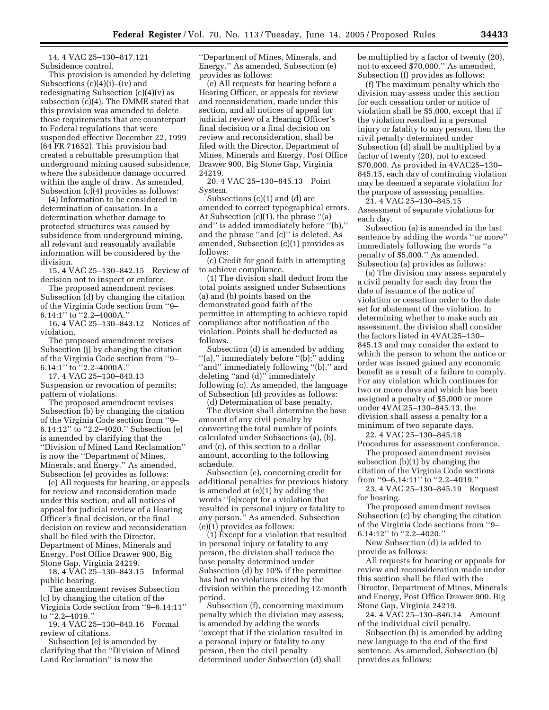14. 4 VAC 25–130–817.121 Subsidence control.

This provision is amended by deleting Subsections (c)(4)(i)–(iv) and redesignating Subsection (c)(4)(v) as subsection (c)(4). The DMME stated that this provision was amended to delete those requirements that are counterpart to Federal regulations that were suspended effective December 22, 1999 (64 FR 71652). This provision had created a rebuttable presumption that underground mining caused subsidence, where the subsidence damage occurred within the angle of draw. As amended, Subsection (c)(4) provides as follows:

(4) Information to be considered in determination of causation. In a determination whether damage to protected structures was caused by subsidence from underground mining, all relevant and reasonably available information will be considered by the division.

15. 4 VAC 25–130–842.15 Review of decision not to inspect or enforce.

The proposed amendment revises Subsection (d) by changing the citation of the Virginia Code section from ''9– 6.14:1'' to ''2.2–4000A.''

16. 4 VAC 25–130–843.12 Notices of violation.

The proposed amendment revises Subsection (j) by changing the citation of the Virginia Code section from ''9– 6.14:1'' to ''2.2–4000A.''

17. 4 VAC 25–130–843.13 Suspension or revocation of permits; pattern of violations.

The proposed amendment revises Subsection (b) by changing the citation of the Virginia Code section from ''9– 6.14:12'' to ''2.2–4020.'' Subsection (e) is amended by clarifying that the ''Division of Mined Land Reclamation'' is now the ''Department of Mines, Minerals, and Energy.'' As amended, Subsection (e) provides as follows:

(e) All requests for hearing, or appeals for review and reconsideration made under this section; and all notices of appeal for judicial review of a Hearing Officer's final decision, or the final decision on review and reconsideration shall be filed with the Director, Department of Mines, Minerals and Energy, Post Office Drawer 900, Big Stone Gap, Virginia 24219.

18. 4 VAC 25–130–843.15 Informal public hearing.

The amendment revises Subsection (c) by changing the citation of the Virginia Code section from ''9–6.14:11'' to ''2.2–4019.''

19. 4 VAC 25–130–843.16 Formal review of citations.

Subsection (e) is amended by clarifying that the ''Division of Mined Land Reclamation'' is now the

''Department of Mines, Minerals, and Energy.'' As amended, Subsection (e) provides as follows:

(e) All requests for hearing before a Hearing Officer, or appeals for review and reconsideration, made under this section, and all notices of appeal for judicial review of a Hearing Officer's final decision or a final decision on review and reconsideration, shall be filed with the Director, Department of Mines, Minerals and Energy, Post Office Drawer 900, Big Stone Gap, Virginia 24219.

20. 4 VAC 25–130–845.13 Point System.

Subsections (c)(1) and (d) are amended to correct typographical errors. At Subsection (c)(1), the phrase ''(a) and'' is added immediately before ''(b),'' and the phrase ''and (c)'' is deleted. As amended, Subsection (c)(1) provides as follows:

(c) Credit for good faith in attempting to achieve compliance.

(1) The division shall deduct from the total points assigned under Subsections (a) and (b) points based on the demonstrated good faith of the permittee in attempting to achieve rapid compliance after notification of the violation. Points shall be deducted as follows.

Subsection (d) is amended by adding ''(a),'' immediately before ''(b);'' adding ''and'' immediately following ''(b),'' and deleting ''and (d)'' immediately following (c). As amended, the language of Subsection (d) provides as follows:

(d) Determination of base penalty.

The division shall determine the base amount of any civil penalty by converting the total number of points calculated under Subsections (a), (b), and (c), of this section to a dollar amount, according to the following schedule.

Subsection (e), concerning credit for additional penalties for previous history is amended at (e)(1) by adding the words ''[e]xcept for a violation that resulted in personal injury or fatality to any person.'' As amended, Subsection (e)(1) provides as follows:

(1) Except for a violation that resulted in personal injury or fatality to any person, the division shall reduce the base penalty determined under Subsection (d) by 10% if the permittee has had no violations cited by the division within the preceding 12-month period.

Subsection (f), concerning maximum penalty which the division may assess, is amended by adding the words ''except that if the violation resulted in a personal injury or fatality to any person, then the civil penalty determined under Subsection (d) shall

be multiplied by a factor of twenty (20), not to exceed \$70,000.'' As amended, Subsection (f) provides as follows:

(f) The maximum penalty which the division may assess under this section for each cessation order or notice of violation shall be \$5,000, except that if the violation resulted in a personal injury or fatality to any person, then the civil penalty determined under Subsection (d) shall be multiplied by a factor of twenty (20), not to exceed \$70,000. As provided in 4VAC25–130– 845.15, each day of continuing violation may be deemed a separate violation for the purpose of assessing penalties. 21. 4 VAC 25–130–845.15

Assessment of separate violations for each day.

Subsection (a) is amended in the last sentence by adding the words ''or more'' immediately following the words ''a penalty of \$5,000.'' As amended, Subsection (a) provides as follows:

(a) The division may assess separately a civil penalty for each day from the date of issuance of the notice of violation or cessation order to the date set for abatement of the violation. In determining whether to make such an assessment, the division shall consider the factors listed in 4VAC25–130– 845.13 and may consider the extent to which the person to whom the notice or order was issued gained any economic benefit as a result of a failure to comply. For any violation which continues for two or more days and which has been assigned a penalty of \$5,000 or more under 4VAC25–130–845.13, the division shall assess a penalty for a minimum of two separate days.

22. 4 VAC 25–130–845.18 Procedures for assessment conference.

The proposed amendment revises subsection (b)(1) by changing the citation of the Virginia Code sections from ''9–6.14:11'' to ''2.2–4019.''

23. 4 VAC 25–130–845.19 Request for hearing.

The proposed amendment revises Subsection (c) by changing the citation of the Virginia Code sections from ''9– 6.14:12'' to ''2.2–4020.''

New Subsection (d) is added to provide as follows:

All requests for hearing or appeals for review and reconsideration made under this section shall be filed with the Director, Department of Mines, Minerals and Energy, Post Office Drawer 900, Big Stone Gap, Virginia 24219.

24. 4 VAC 25–130–846.14 Amount of the individual civil penalty.

Subsection (b) is amended by adding new language to the end of the first sentence. As amended, Subsection (b) provides as follows: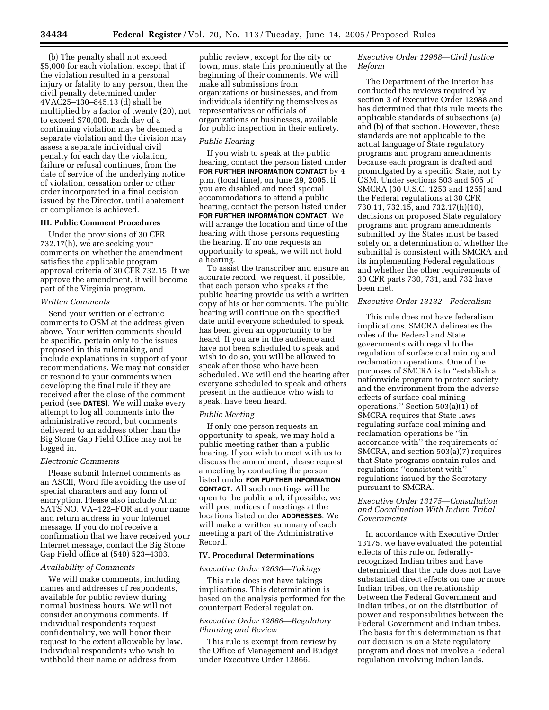(b) The penalty shall not exceed \$5,000 for each violation, except that if the violation resulted in a personal injury or fatality to any person, then the civil penalty determined under 4VAC25–130–845.13 (d) shall be multiplied by a factor of twenty (20), not to exceed \$70,000. Each day of a continuing violation may be deemed a separate violation and the division may assess a separate individual civil penalty for each day the violation, failure or refusal continues, from the date of service of the underlying notice of violation, cessation order or other order incorporated in a final decision issued by the Director, until abatement or compliance is achieved.

# **III. Public Comment Procedures**

Under the provisions of 30 CFR 732.17(h), we are seeking your comments on whether the amendment satisfies the applicable program approval criteria of 30 CFR 732.15. If we approve the amendment, it will become part of the Virginia program.

### *Written Comments*

Send your written or electronic comments to OSM at the address given above. Your written comments should be specific, pertain only to the issues proposed in this rulemaking, and include explanations in support of your recommendations. We may not consider or respond to your comments when developing the final rule if they are received after the close of the comment period (see **DATES**). We will make every attempt to log all comments into the administrative record, but comments delivered to an address other than the Big Stone Gap Field Office may not be logged in.

### *Electronic Comments*

Please submit Internet comments as an ASCII, Word file avoiding the use of special characters and any form of encryption. Please also include Attn: SATS NO. VA–122–FOR and your name and return address in your Internet message. If you do not receive a confirmation that we have received your Internet message, contact the Big Stone Gap Field office at (540) 523–4303.

### *Availability of Comments*

We will make comments, including names and addresses of respondents, available for public review during normal business hours. We will not consider anonymous comments. If individual respondents request confidentiality, we will honor their request to the extent allowable by law. Individual respondents who wish to withhold their name or address from

public review, except for the city or town, must state this prominently at the beginning of their comments. We will make all submissions from organizations or businesses, and from individuals identifying themselves as representatives or officials of organizations or businesses, available for public inspection in their entirety.

## *Public Hearing*

If you wish to speak at the public hearing, contact the person listed under **FOR FURTHER INFORMATION CONTACT** by 4 p.m. (local time), on June 29, 2005. If you are disabled and need special accommodations to attend a public hearing, contact the person listed under **FOR FURTHER INFORMATION CONTACT**. We will arrange the location and time of the hearing with those persons requesting the hearing. If no one requests an opportunity to speak, we will not hold a hearing.

To assist the transcriber and ensure an accurate record, we request, if possible, that each person who speaks at the public hearing provide us with a written copy of his or her comments. The public hearing will continue on the specified date until everyone scheduled to speak has been given an opportunity to be heard. If you are in the audience and have not been scheduled to speak and wish to do so, you will be allowed to speak after those who have been scheduled. We will end the hearing after everyone scheduled to speak and others present in the audience who wish to speak, have been heard.

#### *Public Meeting*

If only one person requests an opportunity to speak, we may hold a public meeting rather than a public hearing. If you wish to meet with us to discuss the amendment, please request a meeting by contacting the person listed under **FOR FURTHER INFORMATION CONTACT**. All such meetings will be open to the public and, if possible, we will post notices of meetings at the locations listed under **ADDRESSES**. We will make a written summary of each meeting a part of the Administrative Record.

# **IV. Procedural Determinations**

#### *Executive Order 12630—Takings*

This rule does not have takings implications. This determination is based on the analysis performed for the counterpart Federal regulation.

# *Executive Order 12866—Regulatory Planning and Review*

This rule is exempt from review by the Office of Management and Budget under Executive Order 12866.

# *Executive Order 12988—Civil Justice Reform*

The Department of the Interior has conducted the reviews required by section 3 of Executive Order 12988 and has determined that this rule meets the applicable standards of subsections (a) and (b) of that section. However, these standards are not applicable to the actual language of State regulatory programs and program amendments because each program is drafted and promulgated by a specific State, not by OSM. Under sections 503 and 505 of SMCRA (30 U.S.C. 1253 and 1255) and the Federal regulations at 30 CFR 730.11, 732.15, and 732.17(h)(10), decisions on proposed State regulatory programs and program amendments submitted by the States must be based solely on a determination of whether the submittal is consistent with SMCRA and its implementing Federal regulations and whether the other requirements of 30 CFR parts 730, 731, and 732 have been met.

## *Executive Order 13132—Federalism*

This rule does not have federalism implications. SMCRA delineates the roles of the Federal and State governments with regard to the regulation of surface coal mining and reclamation operations. One of the purposes of SMCRA is to ''establish a nationwide program to protect society and the environment from the adverse effects of surface coal mining operations.'' Section 503(a)(1) of SMCRA requires that State laws regulating surface coal mining and reclamation operations be ''in accordance with'' the requirements of SMCRA, and section 503(a)(7) requires that State programs contain rules and regulations ''consistent with'' regulations issued by the Secretary pursuant to SMCRA.

# *Executive Order 13175—Consultation and Coordination With Indian Tribal Governments*

In accordance with Executive Order 13175, we have evaluated the potential effects of this rule on federallyrecognized Indian tribes and have determined that the rule does not have substantial direct effects on one or more Indian tribes, on the relationship between the Federal Government and Indian tribes, or on the distribution of power and responsibilities between the Federal Government and Indian tribes. The basis for this determination is that our decision is on a State regulatory program and does not involve a Federal regulation involving Indian lands.